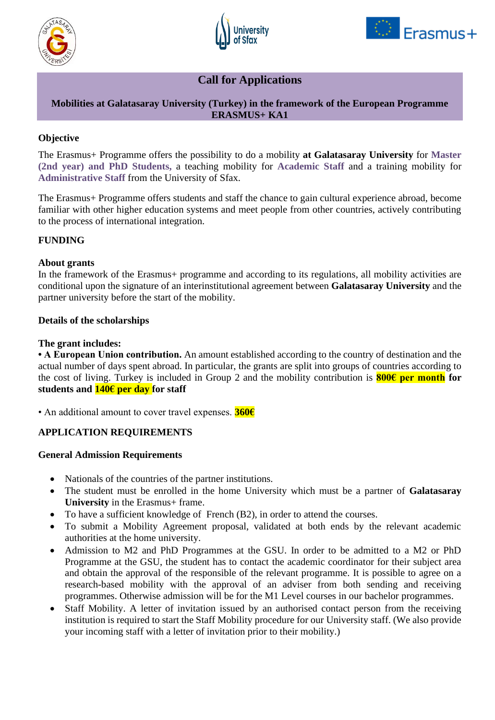





# **Call for Applications**

## **Mobilities at Galatasaray University (Turkey) in the framework of the European Programme ERASMUS+ KA1**

## **Objective**

The Erasmus+ Programme offers the possibility to do a mobility **at Galatasaray University** for **Master (2nd year) and PhD Students,** a teaching mobility for **Academic Staff** and a training mobility for **Administrative Staff** from the University of Sfax.

The Erasmus+ Programme offers students and staff the chance to gain cultural experience abroad, become familiar with other higher education systems and meet people from other countries, actively contributing to the process of international integration.

## **FUNDING**

### **About grants**

In the framework of the Erasmus+ programme and according to its regulations, all mobility activities are conditional upon the signature of an interinstitutional agreement between **Galatasaray University** and the partner university before the start of the mobility.

### **Details of the scholarships**

#### **The grant includes:**

**• A European Union contribution.** An amount established according to the country of destination and the actual number of days spent abroad. In particular, the grants are split into groups of countries according to the cost of living. Turkey is included in Group 2 and the mobility contribution is **800€ per month for students and 140€ per day for staff**

• An additional amount to cover travel expenses. **360€**

## **APPLICATION REQUIREMENTS**

#### **General Admission Requirements**

- Nationals of the countries of the partner institutions.
- The student must be enrolled in the home University which must be a partner of **Galatasaray University** in the Erasmus+ frame.
- To have a sufficient knowledge of French (B2), in order to attend the courses.
- To submit a Mobility Agreement proposal, validated at both ends by the relevant academic authorities at the home university.
- Admission to M2 and PhD Programmes at the GSU. In order to be admitted to a M2 or PhD Programme at the GSU, the student has to contact the academic coordinator for their subject area and obtain the approval of the responsible of the relevant programme. It is possible to agree on a research-based mobility with the approval of an adviser from both sending and receiving programmes. Otherwise admission will be for the M1 Level courses in our bachelor programmes.
- Staff Mobility. A letter of invitation issued by an authorised contact person from the receiving institution is required to start the Staff Mobility procedure for our University staff. (We also provide your incoming staff with a letter of invitation prior to their mobility.)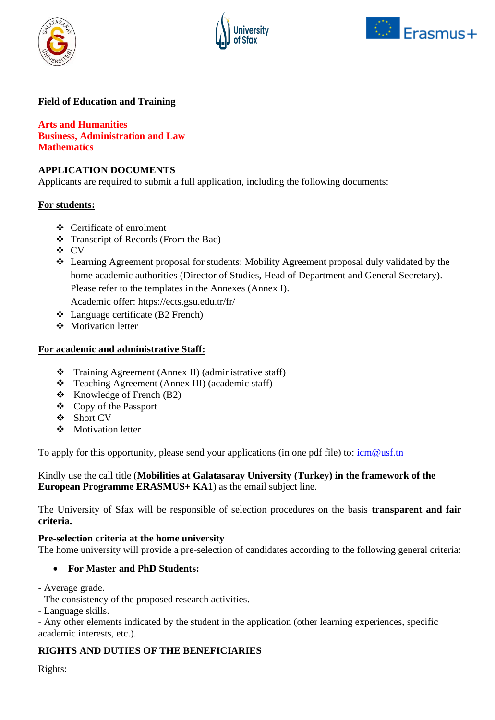





# **Field of Education and Training**

**Arts and Humanities Business, Administration and Law Mathematics**

#### **APPLICATION DOCUMENTS**

Applicants are required to submit a full application, including the following documents:

#### **For students:**

- ❖ Certificate of enrolment
- ❖ Transcript of Records (From the Bac)
- ❖ CV
- ❖ Learning Agreement proposal for students: Mobility Agreement proposal duly validated by the home academic authorities (Director of Studies, Head of Department and General Secretary). Please refer to the templates in the Annexes (Annex I).

Academic offer: https://ects.gsu.edu.tr/fr/

- ❖ Language certificate (B2 French)
- ❖ Motivation letter

#### **For academic and administrative Staff:**

- ❖ Training Agreement (Annex II) (administrative staff)
- ❖ Teaching Agreement (Annex III) (academic staff)
- ❖ Knowledge of French (B2)
- ❖ Copy of the Passport
- ❖ Short CV
- ❖ Motivation letter

To apply for this opportunity, please send your applications (in one pdf file) to:  $\frac{\text{icm@ust} \text{m}}{\text{cm@ust}}$ 

Kindly use the call title (**Mobilities at Galatasaray University (Turkey) in the framework of the European Programme ERASMUS+ KA1**) as the email subject line.

The University of Sfax will be responsible of selection procedures on the basis **transparent and fair criteria.**

#### **Pre-selection criteria at the home university**

The home university will provide a pre-selection of candidates according to the following general criteria:

#### • **For Master and PhD Students:**

- Average grade.

- The consistency of the proposed research activities.

- Language skills.

- Any other elements indicated by the student in the application (other learning experiences, specific academic interests, etc.).

## **RIGHTS AND DUTIES OF THE BENEFICIARIES**

Rights: